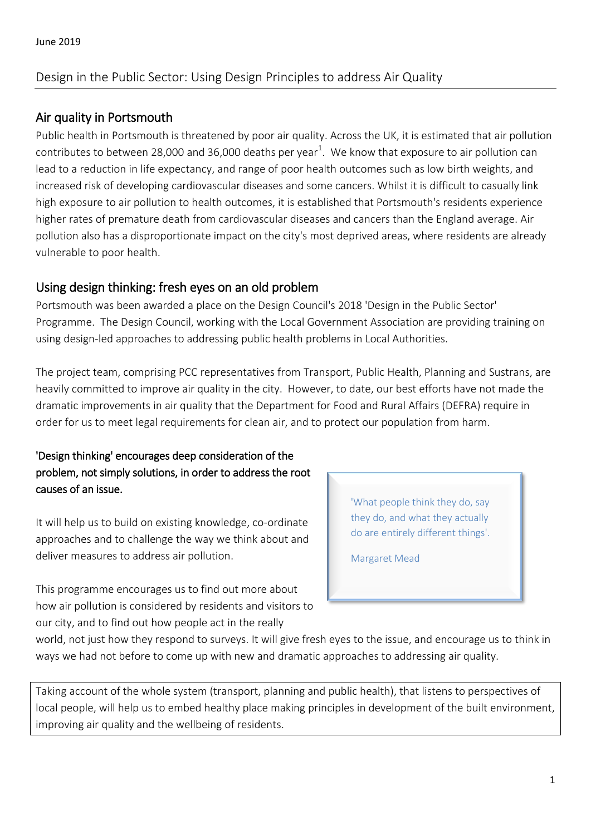# Design in the Public Sector: Using Design Principles to address Air Quality

## Air quality in Portsmouth

Public health in Portsmouth is threatened by poor air quality. Across the UK, it is estimated that air pollution contributes to between 28,000 and 36,000 deaths per year<sup>1</sup>. We know that exposure to air pollution can lead to a reduction in life expectancy, and range of poor health outcomes such as low birth weights, and increased risk of developing cardiovascular diseases and some cancers. Whilst it is difficult to casually link high exposure to air pollution to health outcomes, it is established that Portsmouth's residents experience higher rates of premature death from cardiovascular diseases and cancers than the England average. Air pollution also has a disproportionate impact on the city's most deprived areas, where residents are already vulnerable to poor health.

### Using design thinking: fresh eyes on an old problem

Portsmouth was been awarded a place on the Design Council's 2018 'Design in the Public Sector' Programme. The Design Council, working with the Local Government Association are providing training on using design-led approaches to addressing public health problems in Local Authorities.

The project team, comprising PCC representatives from Transport, Public Health, Planning and Sustrans, are heavily committed to improve air quality in the city. However, to date, our best efforts have not made the dramatic improvements in air quality that the Department for Food and Rural Affairs (DEFRA) require in order for us to meet legal requirements for clean air, and to protect our population from harm.

### 'Design thinking' encourages deep consideration of the problem, not simply solutions, in order to address the root causes of an issue.

It will help us to build on existing knowledge, co-ordinate approaches and to challenge the way we think about and deliver measures to address air pollution.

This programme encourages us to find out more about how air pollution is considered by residents and visitors to our city, and to find out how people act in the really

'What people think they do, say they do, and what they actually do are entirely different things'.

Margaret Mead

world, not just how they respond to surveys. It will give fresh eyes to the issue, and encourage us to think in ways we had not before to come up with new and dramatic approaches to addressing air quality.

Taking account of the whole system (transport, planning and public health), that listens to perspectives of local people, will help us to embed healthy place making principles in development of the built environment, improving air quality and the wellbeing of residents.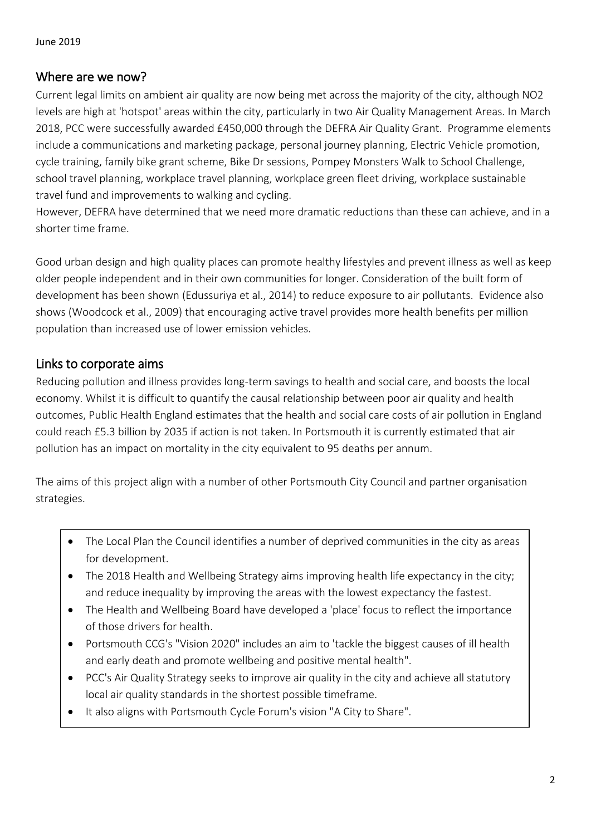### Where are we now?

Current legal limits on ambient air quality are now being met across the majority of the city, although NO2 levels are high at 'hotspot' areas within the city, particularly in two Air Quality Management Areas. In March 2018, PCC were successfully awarded £450,000 through the DEFRA Air Quality Grant. Programme elements include a communications and marketing package, personal journey planning, Electric Vehicle promotion, cycle training, family bike grant scheme, Bike Dr sessions, Pompey Monsters Walk to School Challenge, school travel planning, workplace travel planning, workplace green fleet driving, workplace sustainable travel fund and improvements to walking and cycling.

However, DEFRA have determined that we need more dramatic reductions than these can achieve, and in a shorter time frame.

Good urban design and high quality places can promote healthy lifestyles and prevent illness as well as keep older people independent and in their own communities for longer. Consideration of the built form of development has been shown (Edussuriya et al., 2014) to reduce exposure to air pollutants. Evidence also shows (Woodcock et al., 2009) that encouraging active travel provides more health benefits per million population than increased use of lower emission vehicles.

# Links to corporate aims

Reducing pollution and illness provides long-term savings to health and social care, and boosts the local economy. Whilst it is difficult to quantify the causal relationship between poor air quality and health outcomes, Public Health England estimates that the health and social care costs of air pollution in England could reach £5.3 billion by 2035 if action is not taken. In Portsmouth it is currently estimated that air pollution has an impact on mortality in the city equivalent to 95 deaths per annum.

The aims of this project align with a number of other Portsmouth City Council and partner organisation strategies.

- The Local Plan the Council identifies a number of deprived communities in the city as areas for development.
- The 2018 Health and Wellbeing Strategy aims improving health life expectancy in the city; and reduce inequality by improving the areas with the lowest expectancy the fastest.
- The Health and Wellbeing Board have developed a 'place' focus to reflect the importance of those drivers for health.
- Portsmouth CCG's "Vision 2020" includes an aim to 'tackle the biggest causes of ill health and early death and promote wellbeing and positive mental health".
- PCC's Air Quality Strategy seeks to improve air quality in the city and achieve all statutory local air quality standards in the shortest possible timeframe.
- It also aligns with Portsmouth Cycle Forum's vision "A City to Share".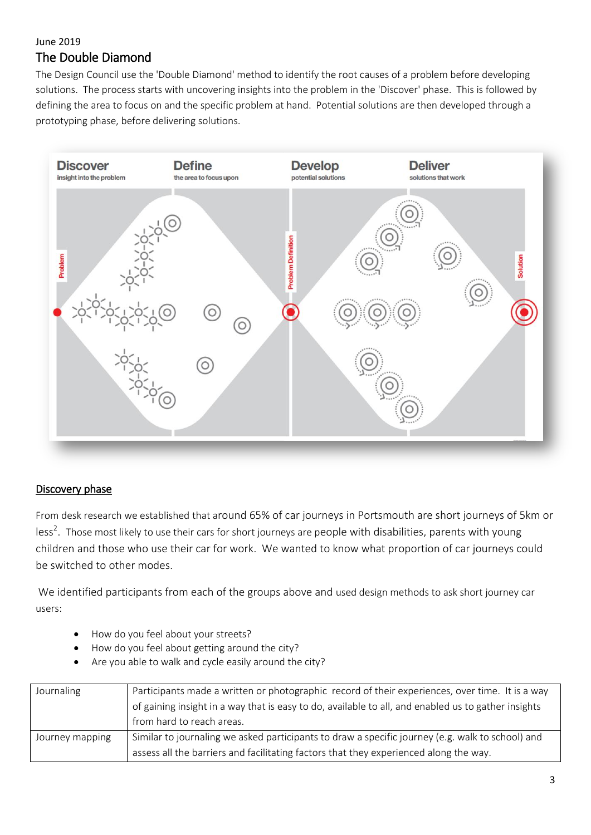### June 2019 The Double Diamond

The Design Council use the 'Double Diamond' method to identify the root causes of a problem before developing solutions. The process starts with uncovering insights into the problem in the 'Discover' phase. This is followed by defining the area to focus on and the specific problem at hand. Potential solutions are then developed through a prototyping phase, before delivering solutions.



### Discovery phase

From desk research we established that around 65% of car journeys in Portsmouth are short journeys of 5km or less<sup>2</sup>. Those most likely to use their cars for short journeys are people with disabilities, parents with young children and those who use their car for work. We wanted to know what proportion of car journeys could be switched to other modes.

We identified participants from each of the groups above and used design methods to ask short journey car users:

- How do you feel about your streets?
- How do you feel about getting around the city?
- Are you able to walk and cycle easily around the city?

| Journaling      | Participants made a written or photographic record of their experiences, over time. It is a way     |
|-----------------|-----------------------------------------------------------------------------------------------------|
|                 | of gaining insight in a way that is easy to do, available to all, and enabled us to gather insights |
|                 | from hard to reach areas.                                                                           |
| Journey mapping | Similar to journaling we asked participants to draw a specific journey (e.g. walk to school) and    |
|                 | assess all the barriers and facilitating factors that they experienced along the way.               |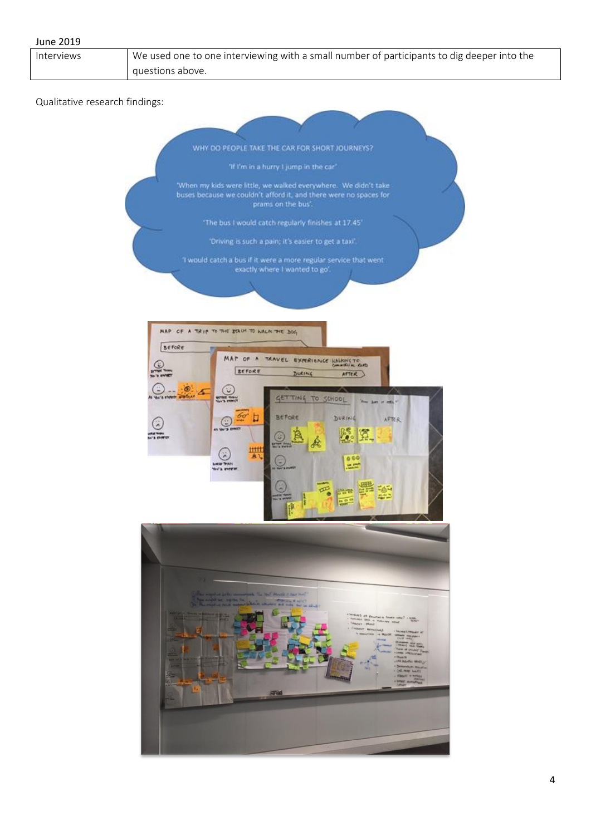| <b>June 2019</b>               |                                                                                                                                                                                                                                                                                                                                                                                                                                                                                                                                                                                                                                                                          |
|--------------------------------|--------------------------------------------------------------------------------------------------------------------------------------------------------------------------------------------------------------------------------------------------------------------------------------------------------------------------------------------------------------------------------------------------------------------------------------------------------------------------------------------------------------------------------------------------------------------------------------------------------------------------------------------------------------------------|
| Interviews                     | We used one to one interviewing with a small number of participants to dig deeper into the                                                                                                                                                                                                                                                                                                                                                                                                                                                                                                                                                                               |
|                                | questions above.                                                                                                                                                                                                                                                                                                                                                                                                                                                                                                                                                                                                                                                         |
| Qualitative research findings: | WHY DO PEOPLE TAKE THE CAR FOR SHORT JOURNEYS?<br>'If I'm in a hurry I jump in the car'.                                                                                                                                                                                                                                                                                                                                                                                                                                                                                                                                                                                 |
|                                | 'When my kids were little, we walked everywhere. We didn't take<br>buses because we couldn't afford it, and there were no spaces for<br>prams on the bus'.<br>"The bus I would catch regularly finishes at 17.45"                                                                                                                                                                                                                                                                                                                                                                                                                                                        |
|                                | 'Driving is such a pain; it's easier to get a taxi'.                                                                                                                                                                                                                                                                                                                                                                                                                                                                                                                                                                                                                     |
|                                | 'I would catch a bus if it were a more regular service that went.<br>exactly where I wanted to go'.                                                                                                                                                                                                                                                                                                                                                                                                                                                                                                                                                                      |
|                                | MAP OF A TRIP TO THE TRACH TO WALK THE DOG<br>BEFORE<br>MAP OF A TRAVEL EXPERIENCE HALKING TO<br><b>BEFORE</b><br>DURING<br>AFTER<br>$\circ$<br>$rac{c}{\sqrt{c}}$<br>a<br>shown watched<br>GETTING TO SCHOOL<br><b>BEFORE</b><br>DURING<br>AFTER<br>G<br>Ą.<br>硐<br>坦坦<br>W,<br>А<br>000<br>W's every<br>$\overline{\mathcal{P}}_{\bullet}$<br><b>Post</b><br>$\frac{1}{2}$                                                                                                                                                                                                                                                                                             |
|                                | an mighted belle commental The leaf benefit of Anelinof<br>a might see support for<br><b>CANNA FAIL</b><br>which and make the se saint<br>chieston's of Prouduring Generalistic? + size.<br>- Forciner Sera - Forciner integr<br><b>Sharry Blood</b><br>. CHARAT BENNI<br><b>Anima Crescent at</b><br><b>N</b> dog<br>$\frac{\partial F(x,y)}{\partial x \partial x} = \frac{\partial F(x,y) \partial x}{\partial x \partial x} + \cdots$<br><b>START OF MAIL</b><br><b>FOR IR ONLAND'S</b><br>· Joseph Wileys<br><b>Plan N</b><br><b>URNUN WOU</b><br>Contact of Hour<br>- CHE-MAY NAVES<br>- Finald + metass<br>- Sinald + metass<br>- Sinald + metassa<br><b>RT60</b> |
|                                | 4                                                                                                                                                                                                                                                                                                                                                                                                                                                                                                                                                                                                                                                                        |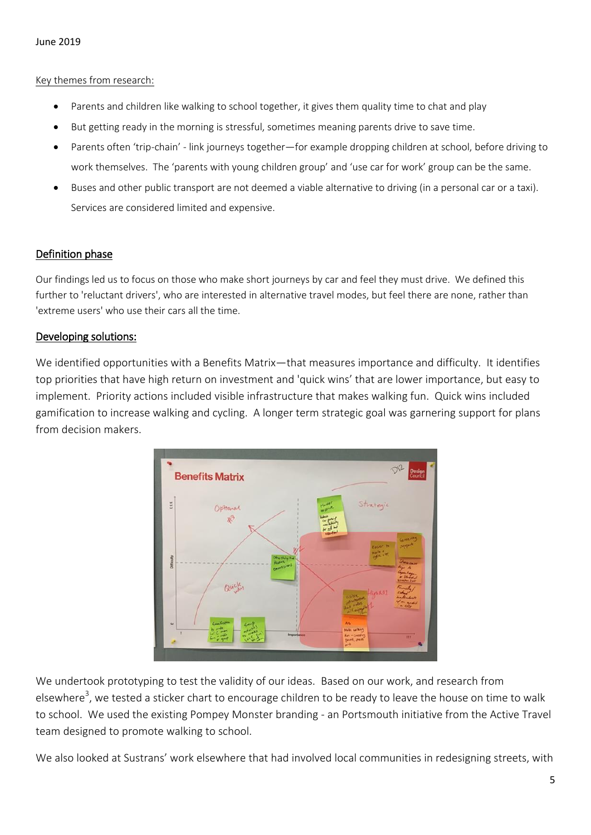#### Key themes from research:

- Parents and children like walking to school together, it gives them quality time to chat and play
- But getting ready in the morning is stressful, sometimes meaning parents drive to save time.
- Parents often 'trip-chain' link journeys together—for example dropping children at school, before driving to work themselves. The 'parents with young children group' and 'use car for work' group can be the same.
- Buses and other public transport are not deemed a viable alternative to driving (in a personal car or a taxi). Services are considered limited and expensive.

#### Definition phase

Our findings led us to focus on those who make short journeys by car and feel they must drive. We defined this further to 'reluctant drivers', who are interested in alternative travel modes, but feel there are none, rather than 'extreme users' who use their cars all the time.

#### Developing solutions:

We identified opportunities with a Benefits Matrix—that measures importance and difficulty. It identifies top priorities that have high return on investment and 'quick wins' that are lower importance, but easy to implement. Priority actions included visible infrastructure that makes walking fun. Quick wins included gamification to increase walking and cycling. A longer term strategic goal was garnering support for plans from decision makers.



We undertook prototyping to test the validity of our ideas. Based on our work, and research from elsewhere<sup>3</sup>, we tested a sticker chart to encourage children to be ready to leave the house on time to walk to school. We used the existing Pompey Monster branding - an Portsmouth initiative from the Active Travel team designed to promote walking to school.

We also looked at Sustrans' work elsewhere that had involved local communities in redesigning streets, with